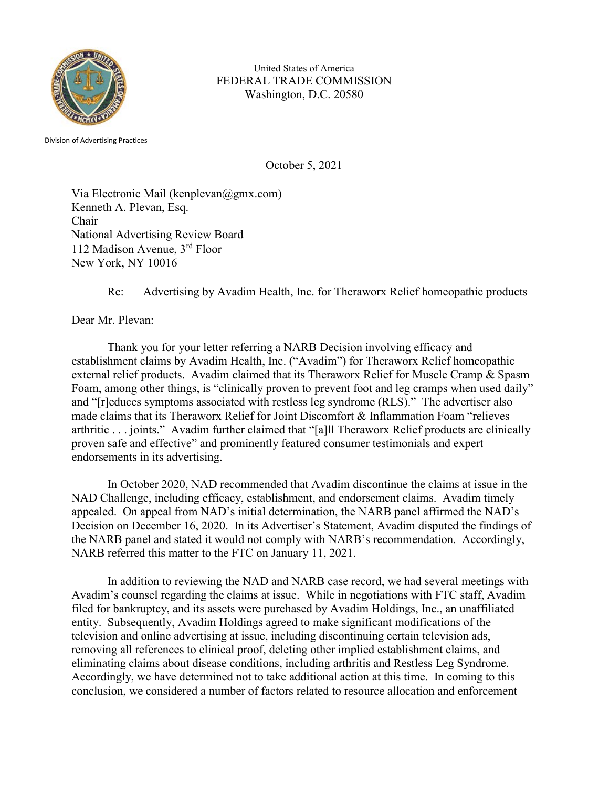

United States of America FEDERAL TRADE COMMISSION Washington, D.C. 20580

Division of Advertising Practices

October 5, 2021

Via Electronic Mail (kenplevan $(\partial gmx.com)$ ) Kenneth A. Plevan, Esq. Chair National Advertising Review Board 112 Madison Avenue, 3rd Floor New York, NY 10016

## Re: Advertising by Avadim Health, Inc. for Theraworx Relief homeopathic products

Dear Mr. Plevan:

 Thank you for your letter referring a NARB Decision involving efficacy and establishment claims by Avadim Health, Inc. ("Avadim") for Theraworx Relief homeopathic external relief products. Avadim claimed that its Theraworx Relief for Muscle Cramp & Spasm Foam, among other things, is "clinically proven to prevent foot and leg cramps when used daily" and "[r]educes symptoms associated with restless leg syndrome (RLS)." The advertiser also made claims that its Theraworx Relief for Joint Discomfort & Inflammation Foam "relieves arthritic . . . joints." Avadim further claimed that "[a]ll Theraworx Relief products are clinically proven safe and effective" and prominently featured consumer testimonials and expert endorsements in its advertising.

In October 2020, NAD recommended that Avadim discontinue the claims at issue in the NAD Challenge, including efficacy, establishment, and endorsement claims. Avadim timely appealed. On appeal from NAD's initial determination, the NARB panel affirmed the NAD's Decision on December 16, 2020. In its Advertiser's Statement, Avadim disputed the findings of the NARB panel and stated it would not comply with NARB's recommendation. Accordingly, NARB referred this matter to the FTC on January 11, 2021.

 In addition to reviewing the NAD and NARB case record, we had several meetings with Avadim's counsel regarding the claims at issue. While in negotiations with FTC staff, Avadim filed for bankruptcy, and its assets were purchased by Avadim Holdings, Inc., an unaffiliated entity. Subsequently, Avadim Holdings agreed to make significant modifications of the television and online advertising at issue, including discontinuing certain television ads, removing all references to clinical proof, deleting other implied establishment claims, and eliminating claims about disease conditions, including arthritis and Restless Leg Syndrome. Accordingly, we have determined not to take additional action at this time. In coming to this conclusion, we considered a number of factors related to resource allocation and enforcement